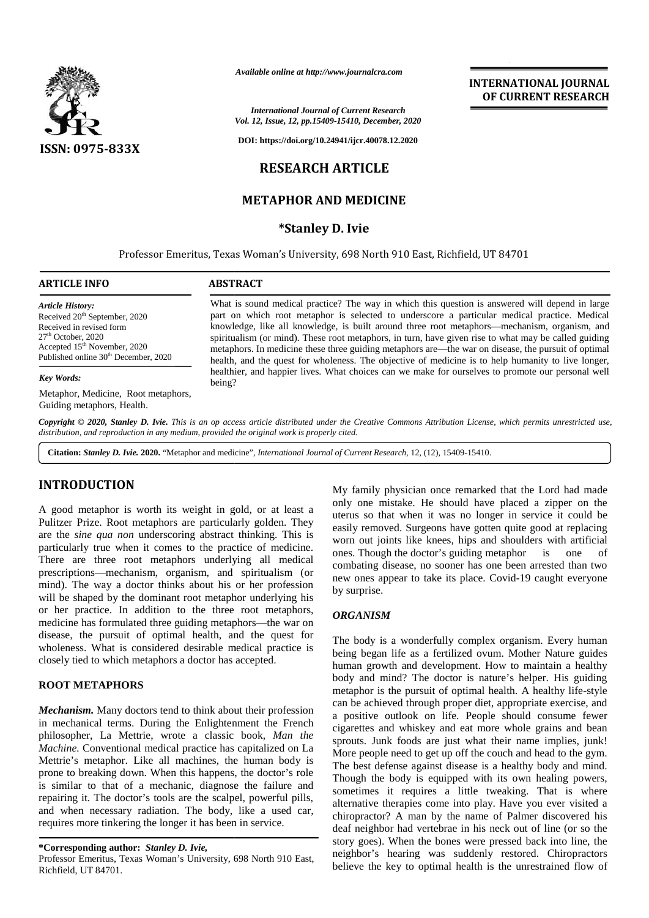

*Available online at http://www.journalcra.com*

*International Journal of Current Research Vol. 12, Issue, 12, pp.15409-15410, December, 2020*

**DOI: https://doi.org/10.24941/ijcr.40078.12.2020**

## **RESEARCH ARTICLE**

## **METAPHOR AND MEDICINE**

#### **\*Stanley D. Ivie**

Professor Emeritus, Texas Woman's University, 698 North 910 East, Richfield, UT 84701 84701

# **ARTICLE INFO ABSTRACT ARTICLE ABSTRACT**What is sound medical practice? The way in which this question is answered will depend in large part on which root metaphor is selected to underscore a particular medical practice. Medical knowledge, like all knowledge, is built around three root metaphors—mechanism, organism, and spiritualism (or mind). These root metaphors, in turn, have given rise to what may be called guiding metaphors. In medicine these three guiding metaphors are—the war on disease, the pursuit of optimal health, and the quest for wholeness. The objective of medicine is to help humanity to live longer, healthier, and happier lives. What choices can we make for ourselves to promote our personal well being? *Key Words:* Metaphor, Medicine, Root metaphors, *Article History:* Received  $20<sup>th</sup>$  September, 2020 Received in revised form 27th October, 2020 Accepted 15<sup>th</sup> November, 2020 Published online 30<sup>th</sup> December, 2020 nd medical practice? The way in which this question is answered will depend in 1 ich root metaphor is selected to underscore a particular medical practice. Medike all knowledge, is built around three root metaphors—mechani **Hearing The Compact Case of Conservation Compact Case of Compact Case of Compact Case of Compact Case of Compact Case of Compact Case of Compact Case of Compact Case of Compact Case of Compact Case of Compact Case of Com**

**Copyright © 2020, Stanley D. Ivie.** This is an op access article distributed under the Creative Commons Attribution License, which permits unrestricted use,<br>distribution, and reproduction in any medium, provided the origi *distribution, and reproduction in any medium, provided the original work is properly cited.*

**Citation:** *Stanley D. Ivie.* **2020.** "Metaphor and medicine", *International Journal of Current Research*, 12, (12), 15409-15410.

## **INTRODUCTION INTRODUCTION**

Guiding metaphors, Health.

A good metaphor is worth its weight in gold, or at least a uter<br>
Pulitzer Prize. Root metaphors are particularly golden. They easi<br>
are the *sine qua non* underscoring abstract thinking. This is Pulitzer Prize. Root metaphors are particularly golden. They are the *sine qua non* underscoring abstract thinking. This is particularly true when it comes to the practice of medicine. There are three root metaphors underlying all medical prescriptions—mechanism, organism, and spiritualism (or mind). The way a doctor thinks about his or her profession will be shaped by the dominant root metaphor underlying his or her practice. In addition to the three root metaphors, medicine has formulated three guiding metaphors—the war on disease, the pursuit of optimal health, and the quest for wholeness. What is considered desirable medical practice is closely tied to which metaphors a doctor has accepted. particularly true when it comes to the practice of medicine.<br>There are three root metaphors underlying all medical<br>prescriptions—mechanism, organism, and spiritualism (or<br>mind). The way a doctor thinks about his or her pro sine qua non underscoring abstract uniking. This is<br>are qua non underscoring abstract uniking. This is<br>are three root metaphors underlying all medical<br>tions—mechanism, organism, and spiritualism (or<br>The way a doctor thinks

#### **ROOT METAPHORS ROOT**

*Mechanism.* Many doctors tend to think about their profession *Mechanism.*in mechanical terms. During the Enlightenment the French in mechanical terms. During the Enlightenment the French ciga<br>philosopher, La Mettrie, wrote a classic book, *Man the Machine.* Conventional medical practice has capitalized on La  $\frac{P}{MQ}$ Mettrie's metaphor. Like all machines, the human body is Mettrie's metaphor. Like all machines, the human body is The prone to breaking down. When this happens, the doctor's role  $\tau_{\text{ho}}$ is similar to that of a mechanic, diagnose the failure and  $\frac{1}{2}$ repairing it. The doctor's tools are the scalpel, powerful pills, repairing and when necessary radiation. The body, like a used car, and when necessary radiation. The body, like a used carequires more tinkering the longer it has been in service.

Professor Emeritus, Texas Woman's University, 698 North 910 East, Richfield, UT 84701.

My family physician once remarked that the Lord had made only one mistake. He should have placed a zipper on the uterus so that when it was no longer in service it could be easily removed. Surgeons have gotten quite good at replacing worn out joints like knees, hips and shoulders with artificial ones. Though the doctor's guiding metaphor is one of combating disease, no sooner has one been arrested than two new ones appear to take its place. Covid-19 caught everyone by surprise.

**INTERNATIONAL JOURNAL OF CURRENT RESEARCH**

#### *ORGANISM*

The body is a wonderfully complex organism. Every human being began life as a fertilized ovum. Mother Nature guides human growth and development. How to maintain a healthy body and mind? The doctor is nature's helper. His guiding metaphor is the pursuit of optimal health. A healthy life-style can be achieved through proper diet, appropriate exercise, and a positive outlook on life. People should consume fewer cigarettes and whiskey and eat more whole grains and bean sprouts. Junk foods are just what their name implies, junk! More people need to get up off the couch and head to the gym. The best defense against disease is a healthy body and mind. Though the body is equipped with its own healing powers, sometimes it requires a little tweaking. That is where alternative therapies come into play. Have you ever visited a chiropractor? A man by the name of Palmer discovered his deaf neighbor had vertebrae in his neck out of l alternative therapies come into play. Have you ever visited a chiropractor? A man by the name of Palmer discovered his deaf neighbor had vertebrae in his neck out of line (or so the story goes). When the bones were pressed back into line, the neighbor's hearing was suddenly restored. Chiropractors believe the key to optimal health is the unrestrained flow of **EVERY FIFOLOGY** IS worth its weight in gold, or at least a  $-$  only furnity physician once remarked hant the Lord harmonic particular Phiere. Piece Reset mister is that when it was no longer in service is really to the s extaphor is the pursuit of optimal health. A healthy life-style<br>in be achieved through proper diet, appropriate exercise, and<br>positive outlook on life. People should consume fewer<br>garettes and whiskey and eat more whole gr al of Current Res<br>
al of Current Res<br>
409-15410, Decembre 209-15410, Decembre 209-15410, Decembre 209-15410, Decembre 209-15410, Decembre 209-15410, Decembre 2016, Supplying the space of the creative of the creative of the

**<sup>\*</sup>Corresponding author:** *Stanley D. Ivie,* **\*Corresponding** *D. Ivie,*